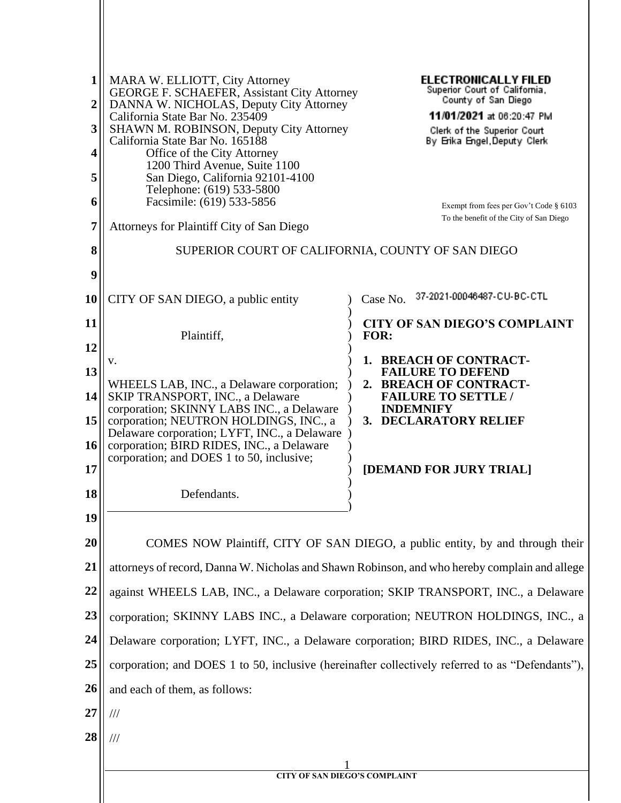| 1<br>$\boldsymbol{2}$<br>3 | MARA W. ELLIOTT, City Attorney<br><b>GEORGE F. SCHAEFER, Assistant City Attorney</b><br>DANNA W. NICHOLAS, Deputy City Attorney<br>California State Bar No. 235409<br><b>SHAWN M. ROBINSON, Deputy City Attorney</b> | <b>ELECTRONICALLY FILED</b><br>Superior Court of California,<br>County of San Diego<br>11/01/2021 at 06:20:47 PM<br>Clerk of the Superior Court |  |  |
|----------------------------|----------------------------------------------------------------------------------------------------------------------------------------------------------------------------------------------------------------------|-------------------------------------------------------------------------------------------------------------------------------------------------|--|--|
| 4                          | California State Bar No. 165188<br>Office of the City Attorney                                                                                                                                                       | By Erika Engel, Deputy Clerk                                                                                                                    |  |  |
|                            | 1200 Third Avenue, Suite 1100                                                                                                                                                                                        |                                                                                                                                                 |  |  |
| 5                          | San Diego, California 92101-4100<br>Telephone: (619) 533-5800                                                                                                                                                        |                                                                                                                                                 |  |  |
| 6                          | Facsimile: (619) 533-5856                                                                                                                                                                                            | Exempt from fees per Gov't Code § 6103                                                                                                          |  |  |
| 7                          | Attorneys for Plaintiff City of San Diego                                                                                                                                                                            | To the benefit of the City of San Diego                                                                                                         |  |  |
| 8                          | SUPERIOR COURT OF CALIFORNIA, COUNTY OF SAN DIEGO                                                                                                                                                                    |                                                                                                                                                 |  |  |
| 9                          |                                                                                                                                                                                                                      |                                                                                                                                                 |  |  |
| 10                         | CITY OF SAN DIEGO, a public entity                                                                                                                                                                                   | 37-2021-00046487-CU-BC-CTL<br>Case No.                                                                                                          |  |  |
| 11                         |                                                                                                                                                                                                                      | <b>CITY OF SAN DIEGO'S COMPLAINT</b>                                                                                                            |  |  |
| 12                         | Plaintiff,                                                                                                                                                                                                           | FOR:                                                                                                                                            |  |  |
|                            | V.                                                                                                                                                                                                                   | 1. BREACH OF CONTRACT-                                                                                                                          |  |  |
| 13<br>14                   | WHEELS LAB, INC., a Delaware corporation;<br>SKIP TRANSPORT, INC., a Delaware                                                                                                                                        | <b>FAILURE TO DEFEND</b><br>2. BREACH OF CONTRACT-<br><b>FAILURE TO SETTLE /</b>                                                                |  |  |
| 15                         | corporation; SKINNY LABS INC., a Delaware<br>corporation; NEUTRON HOLDINGS, INC., a                                                                                                                                  | <b>INDEMNIFY</b><br>3. DECLARATORY RELIEF                                                                                                       |  |  |
|                            | Delaware corporation; LYFT, INC., a Delaware                                                                                                                                                                         |                                                                                                                                                 |  |  |
| 16                         | corporation; BIRD RIDES, INC., a Delaware<br>corporation; and DOES 1 to 50, inclusive;                                                                                                                               |                                                                                                                                                 |  |  |
| 17                         |                                                                                                                                                                                                                      | [DEMAND FOR JURY TRIAL]                                                                                                                         |  |  |
| 18                         | Defendants.                                                                                                                                                                                                          |                                                                                                                                                 |  |  |
| 19                         |                                                                                                                                                                                                                      |                                                                                                                                                 |  |  |
| 20                         |                                                                                                                                                                                                                      | COMES NOW Plaintiff, CITY OF SAN DIEGO, a public entity, by and through their                                                                   |  |  |
| 21                         | attorneys of record, Danna W. Nicholas and Shawn Robinson, and who hereby complain and allege                                                                                                                        |                                                                                                                                                 |  |  |
| 22                         | against WHEELS LAB, INC., a Delaware corporation; SKIP TRANSPORT, INC., a Delaware                                                                                                                                   |                                                                                                                                                 |  |  |
| 23                         | corporation; SKINNY LABS INC., a Delaware corporation; NEUTRON HOLDINGS, INC., a                                                                                                                                     |                                                                                                                                                 |  |  |
| 24                         | Delaware corporation; LYFT, INC., a Delaware corporation; BIRD RIDES, INC., a Delaware                                                                                                                               |                                                                                                                                                 |  |  |
| 25                         | corporation; and DOES 1 to 50, inclusive (hereinafter collectively referred to as "Defendants"),                                                                                                                     |                                                                                                                                                 |  |  |
| 26                         | and each of them, as follows:                                                                                                                                                                                        |                                                                                                                                                 |  |  |
| 27                         | $/ \! / \! /$                                                                                                                                                                                                        |                                                                                                                                                 |  |  |
| 28                         | $\frac{1}{1}$                                                                                                                                                                                                        |                                                                                                                                                 |  |  |
|                            |                                                                                                                                                                                                                      |                                                                                                                                                 |  |  |
|                            | <b>CITY OF SAN DIEGO'S COMPLAINT</b>                                                                                                                                                                                 |                                                                                                                                                 |  |  |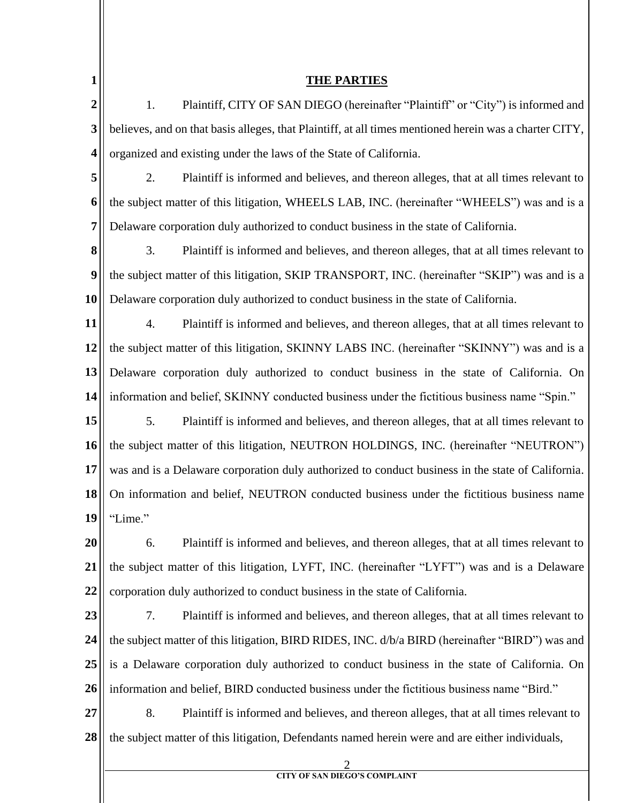| $\mathbf{1}$            | <b>THE PARTIES</b>                                                                                     |  |
|-------------------------|--------------------------------------------------------------------------------------------------------|--|
| $\boldsymbol{2}$        | 1.<br>Plaintiff, CITY OF SAN DIEGO (hereinafter "Plaintiff" or "City") is informed and                 |  |
| 3                       | believes, and on that basis alleges, that Plaintiff, at all times mentioned herein was a charter CITY, |  |
| $\overline{\mathbf{4}}$ | organized and existing under the laws of the State of California.                                      |  |
| 5                       | 2.<br>Plaintiff is informed and believes, and thereon alleges, that at all times relevant to           |  |
| 6                       | the subject matter of this litigation, WHEELS LAB, INC. (hereinafter "WHEELS") was and is a            |  |
| 7                       | Delaware corporation duly authorized to conduct business in the state of California.                   |  |
| 8                       | 3.<br>Plaintiff is informed and believes, and thereon alleges, that at all times relevant to           |  |
| $\boldsymbol{9}$        | the subject matter of this litigation, SKIP TRANSPORT, INC. (hereinafter "SKIP") was and is a          |  |
| 10                      | Delaware corporation duly authorized to conduct business in the state of California.                   |  |
| 11                      | 4.<br>Plaintiff is informed and believes, and thereon alleges, that at all times relevant to           |  |
| 12                      | the subject matter of this litigation, SKINNY LABS INC. (hereinafter "SKINNY") was and is a            |  |
| 13                      | Delaware corporation duly authorized to conduct business in the state of California. On                |  |
| 14                      | information and belief, SKINNY conducted business under the fictitious business name "Spin."           |  |
| 15                      | 5.<br>Plaintiff is informed and believes, and thereon alleges, that at all times relevant to           |  |
| 16                      | the subject matter of this litigation, NEUTRON HOLDINGS, INC. (hereinafter "NEUTRON")                  |  |
| 17                      | was and is a Delaware corporation duly authorized to conduct business in the state of California.      |  |
| 18                      | On information and belief, NEUTRON conducted business under the fictitious business name               |  |
| 19                      | "Lime."                                                                                                |  |
| 20                      | Plaintiff is informed and believes, and thereon alleges, that at all times relevant to<br>6.           |  |
| 21                      | the subject matter of this litigation, LYFT, INC. (hereinafter "LYFT") was and is a Delaware           |  |
| 22                      | corporation duly authorized to conduct business in the state of California.                            |  |
| 23                      | 7.<br>Plaintiff is informed and believes, and thereon alleges, that at all times relevant to           |  |
| 24                      | the subject matter of this litigation, BIRD RIDES, INC. d/b/a BIRD (hereinafter "BIRD") was and        |  |
| 25                      | is a Delaware corporation duly authorized to conduct business in the state of California. On           |  |
| 26                      | information and belief, BIRD conducted business under the fictitious business name "Bird."             |  |
| 27                      | 8.<br>Plaintiff is informed and believes, and thereon alleges, that at all times relevant to           |  |
| 28                      | the subject matter of this litigation, Defendants named herein were and are either individuals,        |  |
|                         | <b>CITY OF SAN DIEGO'S COMPLAINT</b>                                                                   |  |
|                         |                                                                                                        |  |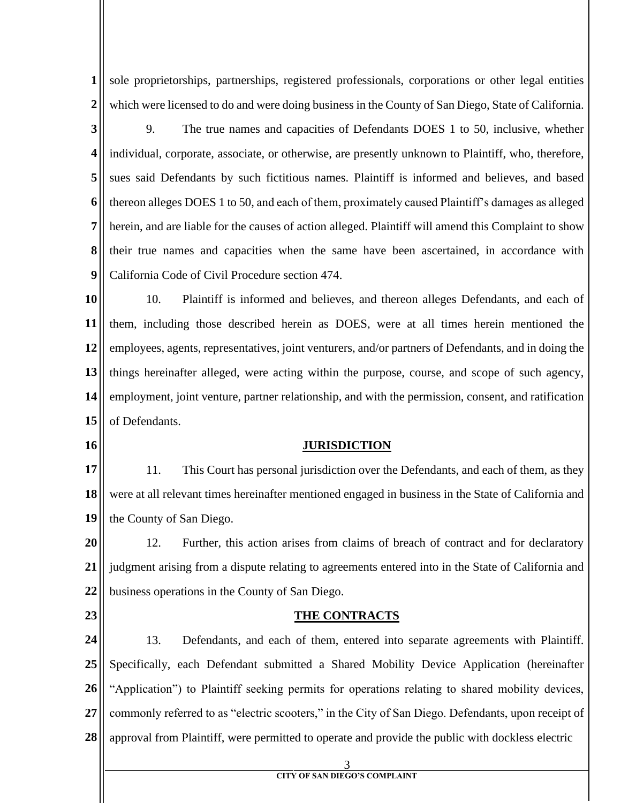**1 2** sole proprietorships, partnerships, registered professionals, corporations or other legal entities which were licensed to do and were doing business in the County of San Diego, State of California.

**3 4 5 6 7 8 9** 9. The true names and capacities of Defendants DOES 1 to 50, inclusive, whether individual, corporate, associate, or otherwise, are presently unknown to Plaintiff, who, therefore, sues said Defendants by such fictitious names. Plaintiff is informed and believes, and based thereon alleges DOES 1 to 50, and each of them, proximately caused Plaintiff's damages as alleged herein, and are liable for the causes of action alleged. Plaintiff will amend this Complaint to show their true names and capacities when the same have been ascertained, in accordance with California Code of Civil Procedure section 474.

**10 11 12 13 14 15** 10. Plaintiff is informed and believes, and thereon alleges Defendants, and each of them, including those described herein as DOES, were at all times herein mentioned the employees, agents, representatives, joint venturers, and/or partners of Defendants, and in doing the things hereinafter alleged, were acting within the purpose, course, and scope of such agency, employment, joint venture, partner relationship, and with the permission, consent, and ratification of Defendants.

**16**

### **JURISDICTION**

**17 18 19** 11. This Court has personal jurisdiction over the Defendants, and each of them, as they were at all relevant times hereinafter mentioned engaged in business in the State of California and the County of San Diego.

**20 21 22** 12. Further, this action arises from claims of breach of contract and for declaratory judgment arising from a dispute relating to agreements entered into in the State of California and business operations in the County of San Diego.

**23**

### **THE CONTRACTS**

**24 25 26 27 28** 13. Defendants, and each of them, entered into separate agreements with Plaintiff. Specifically, each Defendant submitted a Shared Mobility Device Application (hereinafter "Application") to Plaintiff seeking permits for operations relating to shared mobility devices, commonly referred to as "electric scooters," in the City of San Diego. Defendants, upon receipt of approval from Plaintiff, were permitted to operate and provide the public with dockless electric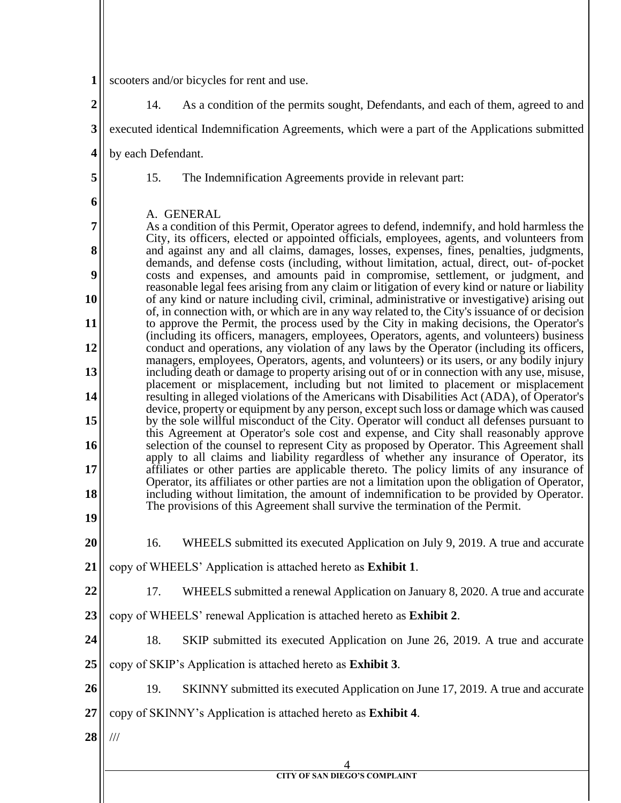| 1              | scooters and/or bicycles for rent and use.                                                                                                                                                       |  |  |
|----------------|--------------------------------------------------------------------------------------------------------------------------------------------------------------------------------------------------|--|--|
| $\overline{2}$ | 14.<br>As a condition of the permits sought, Defendants, and each of them, agreed to and                                                                                                         |  |  |
| 3              | executed identical Indemnification Agreements, which were a part of the Applications submitted                                                                                                   |  |  |
| 4              | by each Defendant.                                                                                                                                                                               |  |  |
| 5              | 15.<br>The Indemnification Agreements provide in relevant part:                                                                                                                                  |  |  |
| 6              |                                                                                                                                                                                                  |  |  |
| 7              | A. GENERAL<br>As a condition of this Permit, Operator agrees to defend, indemnify, and hold harmless the                                                                                         |  |  |
| 8              | City, its officers, elected or appointed officials, employees, agents, and volunteers from<br>and against any and all claims, damages, losses, expenses, fines, penalties, judgments,            |  |  |
| 9              | demands, and defense costs (including, without limitation, actual, direct, out- of-pocket<br>costs and expenses, and amounts paid in compromise, settlement, or judgment, and                    |  |  |
| 10             | reasonable legal fees arising from any claim or litigation of every kind or nature or liability<br>of any kind or nature including civil, criminal, administrative or investigative) arising out |  |  |
| 11             | of, in connection with, or which are in any way related to, the City's issuance of or decision<br>to approve the Permit, the process used by the City in making decisions, the Operator's        |  |  |
| 12             | (including its officers, managers, employees, Operators, agents, and volunteers) business<br>conduct and operations, any violation of any laws by the Operator (including its officers,          |  |  |
| 13             | managers, employees, Operators, agents, and volunteers) or its users, or any bodily injury<br>including death or damage to property arising out of or in connection with any use, misuse,        |  |  |
| 14             | placement or misplacement, including but not limited to placement or misplacement<br>resulting in alleged violations of the Americans with Disabilities Act (ADA), of Operator's                 |  |  |
| 15             | device, property or equipment by any person, except such loss or damage which was caused<br>by the sole willful misconduct of the City. Operator will conduct all defenses pursuant to           |  |  |
| 16             | this Agreement at Operator's sole cost and expense, and City shall reasonably approve<br>selection of the counsel to represent City as proposed by Operator. This Agreement shall                |  |  |
| 17             | apply to all claims and liability regardless of whether any insurance of Operator, its<br>affiliates or other parties are applicable thereto. The policy limits of any insurance of              |  |  |
| 18             | Operator, its affiliates or other parties are not a limitation upon the obligation of Operator,<br>including without limitation, the amount of indemnification to be provided by Operator.       |  |  |
| 19             | The provisions of this Agreement shall survive the termination of the Permit.                                                                                                                    |  |  |
| 20             | 16.<br>WHEELS submitted its executed Application on July 9, 2019. A true and accurate                                                                                                            |  |  |
| 21             | copy of WHEELS' Application is attached hereto as Exhibit 1.                                                                                                                                     |  |  |
| 22             | 17.<br>WHEELS submitted a renewal Application on January 8, 2020. A true and accurate                                                                                                            |  |  |
| 23             | copy of WHEELS' renewal Application is attached hereto as Exhibit 2.                                                                                                                             |  |  |
| 24             | 18.<br>SKIP submitted its executed Application on June 26, 2019. A true and accurate                                                                                                             |  |  |
| 25             | copy of SKIP's Application is attached hereto as Exhibit 3.                                                                                                                                      |  |  |
| 26             | 19.<br>SKINNY submitted its executed Application on June 17, 2019. A true and accurate                                                                                                           |  |  |
| 27             | copy of SKINNY's Application is attached hereto as Exhibit 4.                                                                                                                                    |  |  |
| 28             | $/\!/ \!/$                                                                                                                                                                                       |  |  |
|                | <b>CITY OF SAN DIEGO'S COMPLAINT</b>                                                                                                                                                             |  |  |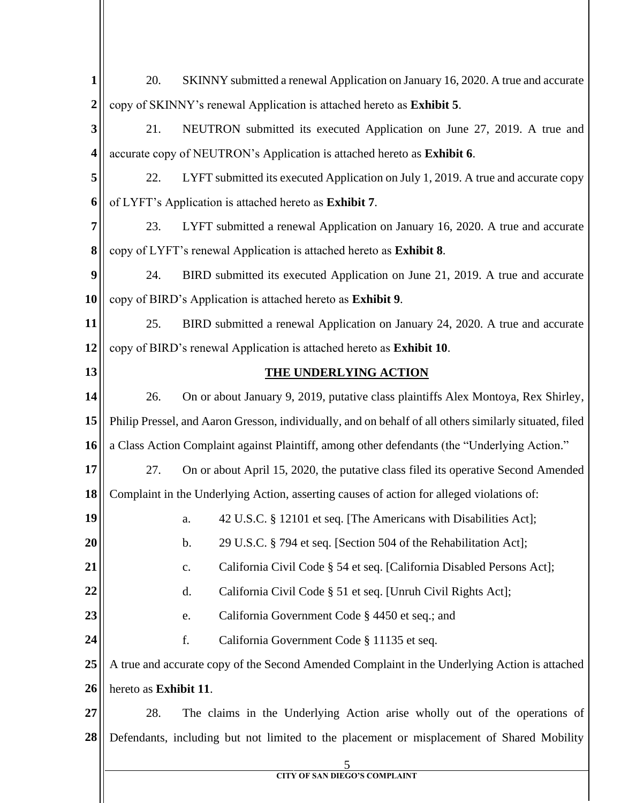| 1                | SKINNY submitted a renewal Application on January 16, 2020. A true and accurate<br>20.                 |                                                                                               |
|------------------|--------------------------------------------------------------------------------------------------------|-----------------------------------------------------------------------------------------------|
| $\boldsymbol{2}$ | copy of SKINNY's renewal Application is attached hereto as Exhibit 5.                                  |                                                                                               |
| 3                | 21.                                                                                                    | NEUTRON submitted its executed Application on June 27, 2019. A true and                       |
| 4                | accurate copy of NEUTRON's Application is attached hereto as Exhibit 6.                                |                                                                                               |
| 5                | 22.                                                                                                    | LYFT submitted its executed Application on July 1, 2019. A true and accurate copy             |
| 6                | of LYFT's Application is attached hereto as Exhibit 7.                                                 |                                                                                               |
| 7                | 23.                                                                                                    | LYFT submitted a renewal Application on January 16, 2020. A true and accurate                 |
| 8                | copy of LYFT's renewal Application is attached hereto as Exhibit 8.                                    |                                                                                               |
| 9                | 24.                                                                                                    | BIRD submitted its executed Application on June 21, 2019. A true and accurate                 |
| 10               | copy of BIRD's Application is attached hereto as Exhibit 9.                                            |                                                                                               |
| 11               | 25.                                                                                                    | BIRD submitted a renewal Application on January 24, 2020. A true and accurate                 |
| 12               |                                                                                                        | copy of BIRD's renewal Application is attached hereto as Exhibit 10.                          |
| 13               |                                                                                                        | <b>THE UNDERLYING ACTION</b>                                                                  |
| 14               | 26.                                                                                                    | On or about January 9, 2019, putative class plaintiffs Alex Montoya, Rex Shirley,             |
| 15               | Philip Pressel, and Aaron Gresson, individually, and on behalf of all others similarly situated, filed |                                                                                               |
| 16               |                                                                                                        | a Class Action Complaint against Plaintiff, among other defendants (the "Underlying Action."  |
| 17               | 27.                                                                                                    | On or about April 15, 2020, the putative class filed its operative Second Amended             |
| 18               |                                                                                                        | Complaint in the Underlying Action, asserting causes of action for alleged violations of:     |
| 19               |                                                                                                        | 42 U.S.C. § 12101 et seq. [The Americans with Disabilities Act];<br>a.                        |
| 20               |                                                                                                        | 29 U.S.C. § 794 et seq. [Section 504 of the Rehabilitation Act];<br>b.                        |
| 21               |                                                                                                        | California Civil Code § 54 et seq. [California Disabled Persons Act];<br>c.                   |
| 22               |                                                                                                        | California Civil Code § 51 et seq. [Unruh Civil Rights Act];<br>d.                            |
| 23               |                                                                                                        | California Government Code § 4450 et seq.; and<br>e.                                          |
| 24               |                                                                                                        | f.<br>California Government Code § 11135 et seq.                                              |
| 25               |                                                                                                        | A true and accurate copy of the Second Amended Complaint in the Underlying Action is attached |
| 26               | hereto as Exhibit 11.                                                                                  |                                                                                               |
| 27               | 28.                                                                                                    | The claims in the Underlying Action arise wholly out of the operations of                     |
| 28               |                                                                                                        | Defendants, including but not limited to the placement or misplacement of Shared Mobility     |
|                  |                                                                                                        | 5<br><b>CITY OF SAN DIEGO'S COMPLAINT</b>                                                     |
|                  |                                                                                                        |                                                                                               |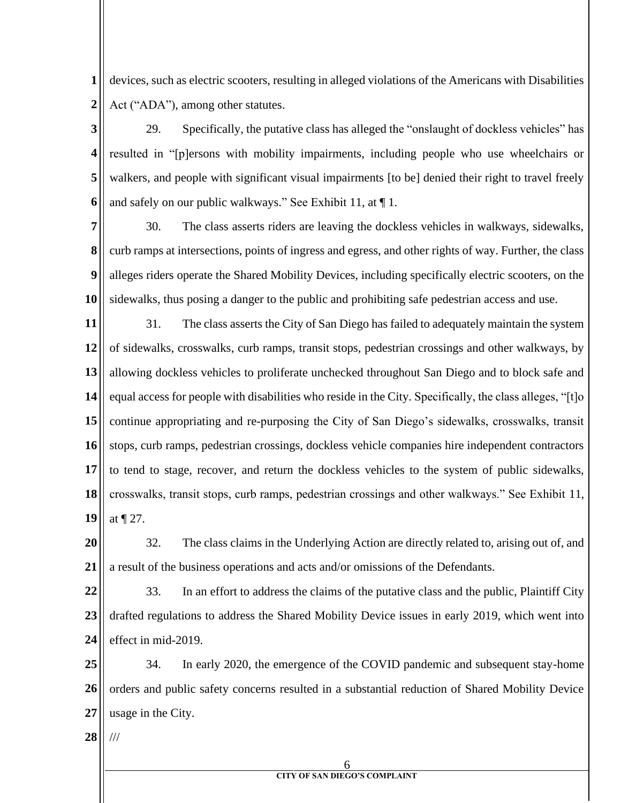**1 2** devices, such as electric scooters, resulting in alleged violations of the Americans with Disabilities Act ("ADA"), among other statutes.

**3 4 5 6** 29. Specifically, the putative class has alleged the "onslaught of dockless vehicles" has resulted in "[p]ersons with mobility impairments, including people who use wheelchairs or walkers, and people with significant visual impairments [to be] denied their right to travel freely and safely on our public walkways." See Exhibit 11, at ¶ 1.

**7 8 9 10** 30. The class asserts riders are leaving the dockless vehicles in walkways, sidewalks, curb ramps at intersections, points of ingress and egress, and other rights of way. Further, the class alleges riders operate the Shared Mobility Devices, including specifically electric scooters, on the sidewalks, thus posing a danger to the public and prohibiting safe pedestrian access and use.

**11 12 13 14 15 16 17 18 19** 31. The class asserts the City of San Diego has failed to adequately maintain the system of sidewalks, crosswalks, curb ramps, transit stops, pedestrian crossings and other walkways, by allowing dockless vehicles to proliferate unchecked throughout San Diego and to block safe and equal access for people with disabilities who reside in the City. Specifically, the class alleges, "[t]o continue appropriating and re-purposing the City of San Diego's sidewalks, crosswalks, transit stops, curb ramps, pedestrian crossings, dockless vehicle companies hire independent contractors to tend to stage, recover, and return the dockless vehicles to the system of public sidewalks, crosswalks, transit stops, curb ramps, pedestrian crossings and other walkways." See Exhibit 11, at ¶ 27.

**20 21** 32. The class claims in the Underlying Action are directly related to, arising out of, and a result of the business operations and acts and/or omissions of the Defendants.

**22 23 24** 33. In an effort to address the claims of the putative class and the public, Plaintiff City drafted regulations to address the Shared Mobility Device issues in early 2019, which went into effect in mid-2019.

**25 26 27** 34. In early 2020, the emergence of the COVID pandemic and subsequent stay-home orders and public safety concerns resulted in a substantial reduction of Shared Mobility Device usage in the City.

**28** ///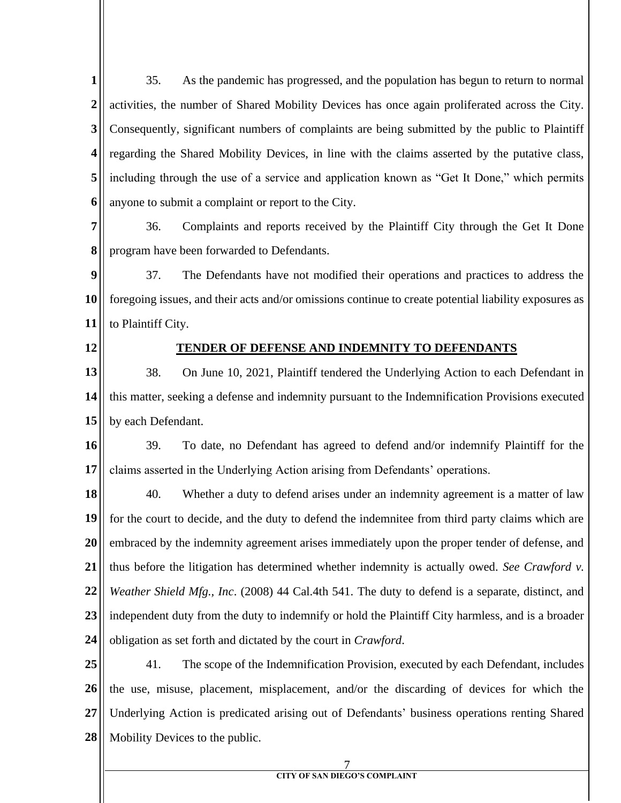**1 2 3 4 5 6** 35. As the pandemic has progressed, and the population has begun to return to normal activities, the number of Shared Mobility Devices has once again proliferated across the City. Consequently, significant numbers of complaints are being submitted by the public to Plaintiff regarding the Shared Mobility Devices, in line with the claims asserted by the putative class, including through the use of a service and application known as "Get It Done," which permits anyone to submit a complaint or report to the City.

**7 8** 36. Complaints and reports received by the Plaintiff City through the Get It Done program have been forwarded to Defendants.

**9 10 11** 37. The Defendants have not modified their operations and practices to address the foregoing issues, and their acts and/or omissions continue to create potential liability exposures as to Plaintiff City.

**12**

## **TENDER OF DEFENSE AND INDEMNITY TO DEFENDANTS**

**13 14 15** 38. On June 10, 2021, Plaintiff tendered the Underlying Action to each Defendant in this matter, seeking a defense and indemnity pursuant to the Indemnification Provisions executed by each Defendant.

**16 17** 39. To date, no Defendant has agreed to defend and/or indemnify Plaintiff for the claims asserted in the Underlying Action arising from Defendants' operations.

**18 19 20 21 22 23 24** 40. Whether a duty to defend arises under an indemnity agreement is a matter of law for the court to decide, and the duty to defend the indemnitee from third party claims which are embraced by the indemnity agreement arises immediately upon the proper tender of defense, and thus before the litigation has determined whether indemnity is actually owed. *See Crawford v. Weather Shield Mfg., Inc*. (2008) 44 Cal.4th 541. The duty to defend is a separate, distinct, and independent duty from the duty to indemnify or hold the Plaintiff City harmless, and is a broader obligation as set forth and dictated by the court in *Crawford*.

**25 26 27 28** 41. The scope of the Indemnification Provision, executed by each Defendant, includes the use, misuse, placement, misplacement, and/or the discarding of devices for which the Underlying Action is predicated arising out of Defendants' business operations renting Shared Mobility Devices to the public.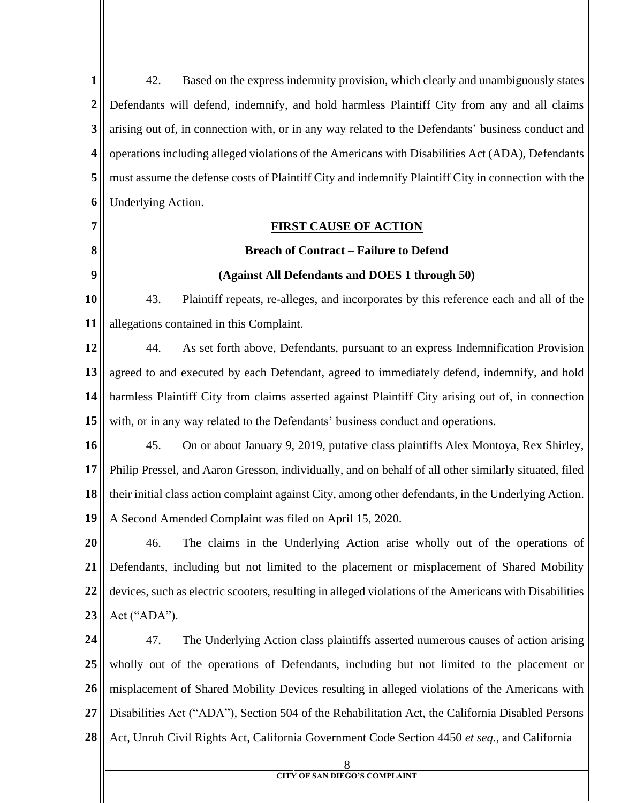8 **CITY OF SAN DIEGO'S COMPLAINT 1 2 3 4 5 6 7 8 9 10 11 12 13 14 15 16 17 18 19 20 21 22 23 24 25 26 27 28** 42. Based on the express indemnity provision, which clearly and unambiguously states Defendants will defend, indemnify, and hold harmless Plaintiff City from any and all claims arising out of, in connection with, or in any way related to the Defendants' business conduct and operations including alleged violations of the Americans with Disabilities Act (ADA), Defendants must assume the defense costs of Plaintiff City and indemnify Plaintiff City in connection with the Underlying Action. **FIRST CAUSE OF ACTION Breach of Contract – Failure to Defend (Against All Defendants and DOES 1 through 50)** 43. Plaintiff repeats, re-alleges, and incorporates by this reference each and all of the allegations contained in this Complaint. 44. As set forth above, Defendants, pursuant to an express Indemnification Provision agreed to and executed by each Defendant, agreed to immediately defend, indemnify, and hold harmless Plaintiff City from claims asserted against Plaintiff City arising out of, in connection with, or in any way related to the Defendants' business conduct and operations. 45. On or about January 9, 2019, putative class plaintiffs Alex Montoya, Rex Shirley, Philip Pressel, and Aaron Gresson, individually, and on behalf of all other similarly situated, filed their initial class action complaint against City, among other defendants, in the Underlying Action. A Second Amended Complaint was filed on April 15, 2020. 46. The claims in the Underlying Action arise wholly out of the operations of Defendants, including but not limited to the placement or misplacement of Shared Mobility devices, such as electric scooters, resulting in alleged violations of the Americans with Disabilities Act ("ADA"). 47. The Underlying Action class plaintiffs asserted numerous causes of action arising wholly out of the operations of Defendants, including but not limited to the placement or misplacement of Shared Mobility Devices resulting in alleged violations of the Americans with Disabilities Act ("ADA"), Section 504 of the Rehabilitation Act, the California Disabled Persons Act, Unruh Civil Rights Act, California Government Code Section 4450 *et seq.*, and California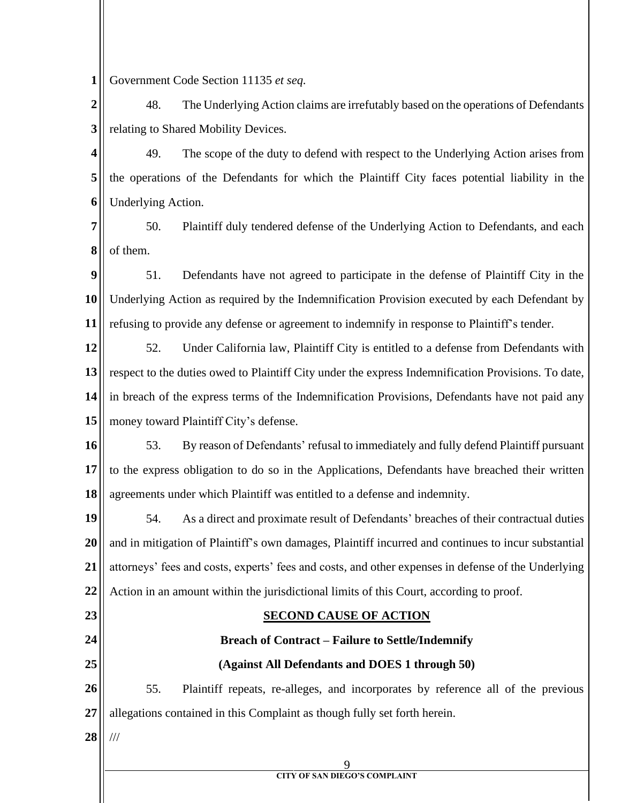**1** Government Code Section 11135 *et seq.*

**2 3** 48. The Underlying Action claims are irrefutably based on the operations of Defendants relating to Shared Mobility Devices.

**4 5 6** 49. The scope of the duty to defend with respect to the Underlying Action arises from the operations of the Defendants for which the Plaintiff City faces potential liability in the Underlying Action.

**7 8** 50. Plaintiff duly tendered defense of the Underlying Action to Defendants, and each of them.

**9 10 11** 51. Defendants have not agreed to participate in the defense of Plaintiff City in the Underlying Action as required by the Indemnification Provision executed by each Defendant by refusing to provide any defense or agreement to indemnify in response to Plaintiff's tender.

**12 13 14 15** 52. Under California law, Plaintiff City is entitled to a defense from Defendants with respect to the duties owed to Plaintiff City under the express Indemnification Provisions. To date, in breach of the express terms of the Indemnification Provisions, Defendants have not paid any money toward Plaintiff City's defense.

**16 17 18** 53. By reason of Defendants' refusal to immediately and fully defend Plaintiff pursuant to the express obligation to do so in the Applications, Defendants have breached their written agreements under which Plaintiff was entitled to a defense and indemnity.

**19 20 21 22** 54. As a direct and proximate result of Defendants' breaches of their contractual duties and in mitigation of Plaintiff's own damages, Plaintiff incurred and continues to incur substantial attorneys' fees and costs, experts' fees and costs, and other expenses in defense of the Underlying Action in an amount within the jurisdictional limits of this Court, according to proof.

**23 24**

**25**

# **SECOND CAUSE OF ACTION**

# **Breach of Contract – Failure to Settle/Indemnify**

# **(Against All Defendants and DOES 1 through 50)**

**26 27** 55. Plaintiff repeats, re-alleges, and incorporates by reference all of the previous allegations contained in this Complaint as though fully set forth herein.

**28** ///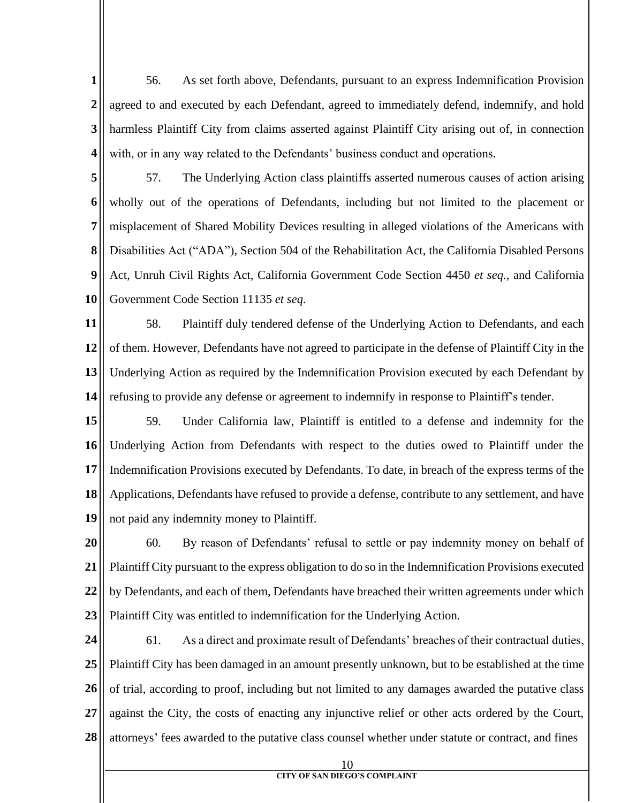**1 2 3 4** 56. As set forth above, Defendants, pursuant to an express Indemnification Provision agreed to and executed by each Defendant, agreed to immediately defend, indemnify, and hold harmless Plaintiff City from claims asserted against Plaintiff City arising out of, in connection with, or in any way related to the Defendants' business conduct and operations.

**5 6 7 8 9 10** 57. The Underlying Action class plaintiffs asserted numerous causes of action arising wholly out of the operations of Defendants, including but not limited to the placement or misplacement of Shared Mobility Devices resulting in alleged violations of the Americans with Disabilities Act ("ADA"), Section 504 of the Rehabilitation Act, the California Disabled Persons Act, Unruh Civil Rights Act, California Government Code Section 4450 *et seq.*, and California Government Code Section 11135 *et seq.*

**11 12 13 14** 58. Plaintiff duly tendered defense of the Underlying Action to Defendants, and each of them. However, Defendants have not agreed to participate in the defense of Plaintiff City in the Underlying Action as required by the Indemnification Provision executed by each Defendant by refusing to provide any defense or agreement to indemnify in response to Plaintiff's tender.

**15 16 17 18 19** 59. Under California law, Plaintiff is entitled to a defense and indemnity for the Underlying Action from Defendants with respect to the duties owed to Plaintiff under the Indemnification Provisions executed by Defendants. To date, in breach of the express terms of the Applications, Defendants have refused to provide a defense, contribute to any settlement, and have not paid any indemnity money to Plaintiff.

**20 21 22 23** 60. By reason of Defendants' refusal to settle or pay indemnity money on behalf of Plaintiff City pursuant to the express obligation to do so in the Indemnification Provisions executed by Defendants, and each of them, Defendants have breached their written agreements under which Plaintiff City was entitled to indemnification for the Underlying Action.

- **24 25 26 27 28** 61. As a direct and proximate result of Defendants' breaches of their contractual duties, Plaintiff City has been damaged in an amount presently unknown, but to be established at the time of trial, according to proof, including but not limited to any damages awarded the putative class against the City, the costs of enacting any injunctive relief or other acts ordered by the Court, attorneys' fees awarded to the putative class counsel whether under statute or contract, and fines
	- 10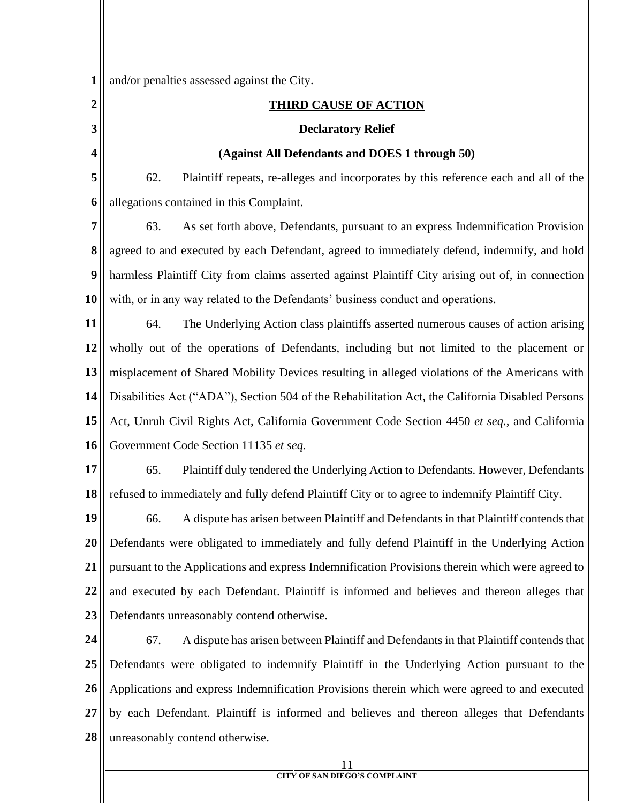11 **1 2 3 4 5 6 7 8 9 10 11 12 13 14 15 16 17 18 19 20 21 22 23 24 25 26 27 28** and/or penalties assessed against the City. **THIRD CAUSE OF ACTION Declaratory Relief (Against All Defendants and DOES 1 through 50)** 62. Plaintiff repeats, re-alleges and incorporates by this reference each and all of the allegations contained in this Complaint. 63. As set forth above, Defendants, pursuant to an express Indemnification Provision agreed to and executed by each Defendant, agreed to immediately defend, indemnify, and hold harmless Plaintiff City from claims asserted against Plaintiff City arising out of, in connection with, or in any way related to the Defendants' business conduct and operations. 64. The Underlying Action class plaintiffs asserted numerous causes of action arising wholly out of the operations of Defendants, including but not limited to the placement or misplacement of Shared Mobility Devices resulting in alleged violations of the Americans with Disabilities Act ("ADA"), Section 504 of the Rehabilitation Act, the California Disabled Persons Act, Unruh Civil Rights Act, California Government Code Section 4450 *et seq.*, and California Government Code Section 11135 *et seq.* 65. Plaintiff duly tendered the Underlying Action to Defendants. However, Defendants refused to immediately and fully defend Plaintiff City or to agree to indemnify Plaintiff City. 66. A dispute has arisen between Plaintiff and Defendants in that Plaintiff contends that Defendants were obligated to immediately and fully defend Plaintiff in the Underlying Action pursuant to the Applications and express Indemnification Provisions therein which were agreed to and executed by each Defendant. Plaintiff is informed and believes and thereon alleges that Defendants unreasonably contend otherwise. 67. A dispute has arisen between Plaintiff and Defendants in that Plaintiff contends that Defendants were obligated to indemnify Plaintiff in the Underlying Action pursuant to the Applications and express Indemnification Provisions therein which were agreed to and executed by each Defendant. Plaintiff is informed and believes and thereon alleges that Defendants unreasonably contend otherwise.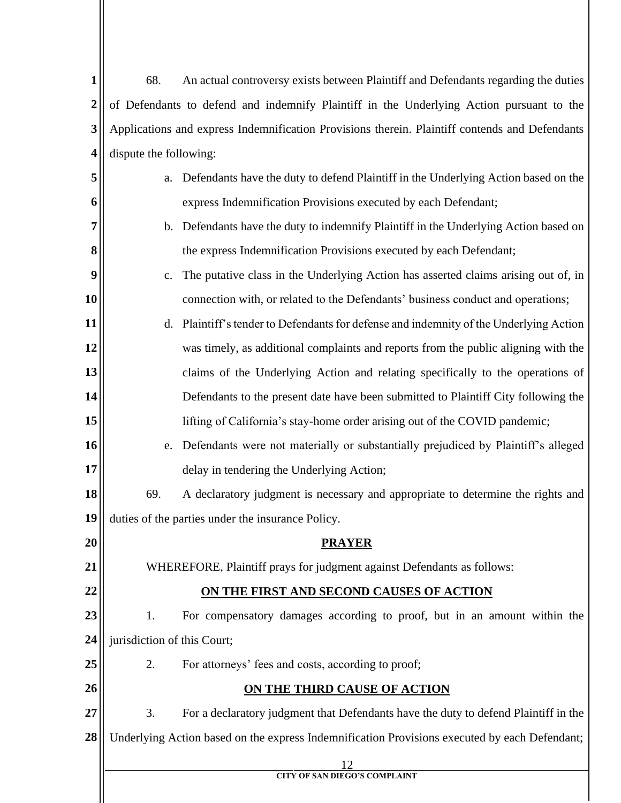| 1              | 68.                                                                                            | An actual controversy exists between Plaintiff and Defendants regarding the duties            |  |
|----------------|------------------------------------------------------------------------------------------------|-----------------------------------------------------------------------------------------------|--|
| $\overline{2}$ | of Defendants to defend and indemnify Plaintiff in the Underlying Action pursuant to the       |                                                                                               |  |
| 3              | Applications and express Indemnification Provisions therein. Plaintiff contends and Defendants |                                                                                               |  |
| 4              | dispute the following:                                                                         |                                                                                               |  |
| 5              | a.                                                                                             | Defendants have the duty to defend Plaintiff in the Underlying Action based on the            |  |
| 6              |                                                                                                | express Indemnification Provisions executed by each Defendant;                                |  |
| 7              | $\mathbf{b}$ .                                                                                 | Defendants have the duty to indemnify Plaintiff in the Underlying Action based on             |  |
| 8              |                                                                                                | the express Indemnification Provisions executed by each Defendant;                            |  |
| 9              | $C_{\bullet}$                                                                                  | The putative class in the Underlying Action has asserted claims arising out of, in            |  |
| 10             |                                                                                                | connection with, or related to the Defendants' business conduct and operations;               |  |
| 11             | d.                                                                                             | Plaintiff's tender to Defendants for defense and indemnity of the Underlying Action           |  |
| 12             |                                                                                                | was timely, as additional complaints and reports from the public aligning with the            |  |
| 13             |                                                                                                | claims of the Underlying Action and relating specifically to the operations of                |  |
| 14             |                                                                                                | Defendants to the present date have been submitted to Plaintiff City following the            |  |
| 15             |                                                                                                | lifting of California's stay-home order arising out of the COVID pandemic;                    |  |
| 16             | e.                                                                                             | Defendants were not materially or substantially prejudiced by Plaintiff's alleged             |  |
| 17             |                                                                                                | delay in tendering the Underlying Action;                                                     |  |
| 18             | 69.                                                                                            | A declaratory judgment is necessary and appropriate to determine the rights and               |  |
| 19             |                                                                                                | duties of the parties under the insurance Policy.                                             |  |
| 20             |                                                                                                | <b>PRAYER</b>                                                                                 |  |
| 21             |                                                                                                | WHEREFORE, Plaintiff prays for judgment against Defendants as follows:                        |  |
| 22             | ON THE FIRST AND SECOND CAUSES OF ACTION                                                       |                                                                                               |  |
| 23             | 1.                                                                                             | For compensatory damages according to proof, but in an amount within the                      |  |
| 24             | jurisdiction of this Court;                                                                    |                                                                                               |  |
| 25             | 2.                                                                                             | For attorneys' fees and costs, according to proof;                                            |  |
| 26             |                                                                                                | <b>ON THE THIRD CAUSE OF ACTION</b>                                                           |  |
| 27             | 3.                                                                                             | For a declaratory judgment that Defendants have the duty to defend Plaintiff in the           |  |
| 28             |                                                                                                | Underlying Action based on the express Indemnification Provisions executed by each Defendant; |  |
|                |                                                                                                | 12<br><b>CITY OF SAN DIEGO'S COMPLAINT</b>                                                    |  |
|                |                                                                                                |                                                                                               |  |